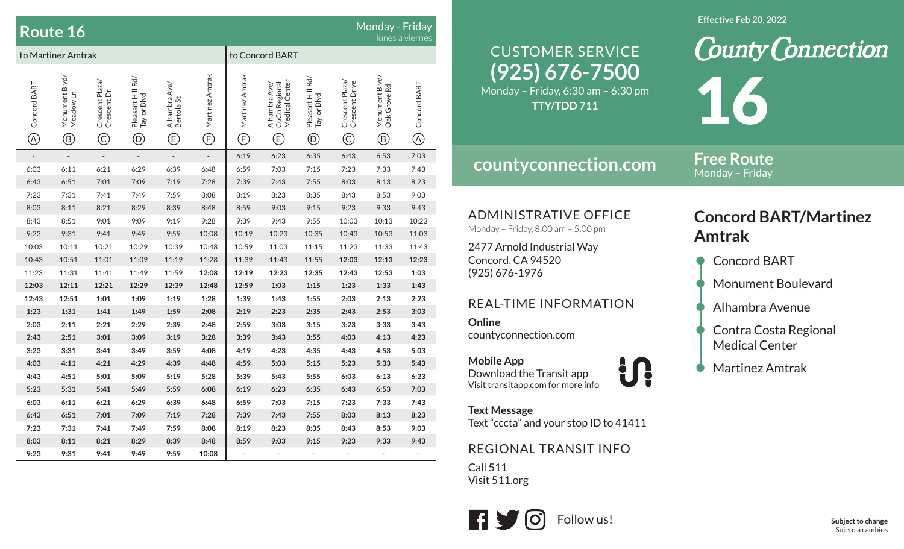|                             | <b>Route 16</b>                               |                                                |                                                   |                                               |                                |                                                          | Monday - Friday                                       | lunes a viernes                                     |                                                                                 |                                                |                                |
|-----------------------------|-----------------------------------------------|------------------------------------------------|---------------------------------------------------|-----------------------------------------------|--------------------------------|----------------------------------------------------------|-------------------------------------------------------|-----------------------------------------------------|---------------------------------------------------------------------------------|------------------------------------------------|--------------------------------|
| to Martinez Amtrak          |                                               |                                                |                                                   |                                               |                                |                                                          | to Concord BART                                       |                                                     |                                                                                 |                                                |                                |
| Concord BART<br>$\circledR$ | Monument Blvd/<br>Meadow Ln<br>$^{\circledR}$ | Crescent Plaza/<br>Crescent Dr<br>$\copyright$ | Pleasant Hill Rd/<br>Taylor Blvd<br>$^\copyright$ | Alhambra Ave/<br>Bertola St<br>$^{\circledR}$ | Martinez Amtrak<br>$\bigoplus$ | Martinez Amtrak<br>$\mathop\textcircled{\scriptsize{F}}$ | CoCo Regional<br>Medical Center<br>Alhambra Ave/<br>Ē | Pleasant Hill Rd/<br>Taylor Blvd<br>$^{\copyright}$ | Crescent Plaza/<br>Crescent Drive<br>$\mathbb{C}% _{0}^{X\left( t_{0}\right) }$ | Monument Blvd/<br>Oak Grove Rd<br>$^\circledR$ | Concord BART<br>$^{\circledR}$ |
|                             | $\overline{a}$                                | $\overline{a}$                                 | $\frac{1}{2}$                                     | $\overline{\phantom{a}}$                      | $\overline{\phantom{a}}$       | 6:19                                                     | 6:23                                                  | 6:35                                                | 6:43                                                                            | 6:53                                           | 7:03                           |
| 6:03                        | 6:11                                          | 6:21                                           | 6:29                                              | 6:39                                          | 6:48                           | 6:59                                                     | 7:03                                                  | 7:15                                                | 7:23                                                                            | 7:33                                           | 7:43                           |
| 6:43                        | 6:51                                          | 7:01                                           | 7:09                                              | 7:19                                          | 7:28                           | 7:39                                                     | 7:43                                                  | 7:55                                                | 8:03                                                                            | 8:13                                           | 8:23                           |
| 7:23                        | 7:31                                          | 7:41                                           | 7:49                                              | 7:59                                          | 8:08                           | 8:19                                                     | 8:23                                                  | 8:35                                                | 8:43                                                                            | 8:53                                           | 9:03                           |
| 8:03                        | 8:11                                          | 8:21                                           | 8:29                                              | 8:39                                          | 8:48                           | 8:59                                                     | 9:03                                                  | 9:15                                                | 9:23                                                                            | 9:33                                           | 9:43                           |
| 8:43                        | 8:51                                          | 9:01                                           | 9:09                                              | 9:19                                          | 9:28                           | 9:39                                                     | 9:43                                                  | 9:55                                                | 10:03                                                                           | 10:13                                          | 10:23                          |
| 9:23                        | 9:31                                          | 9:41                                           | 9:49                                              | 9:59                                          | 10:08                          | 10:19                                                    | 10:23                                                 | 10:35                                               | 10:43                                                                           | 10:53                                          | 11:03                          |
| 10:03                       | 10:11                                         | 10:21                                          | 10:29                                             | 10:39                                         | 10:48                          | 10:59                                                    | 11:03                                                 | 11:15                                               | 11:23                                                                           | 11:33                                          | 11:43                          |
| 10:43                       | 10:51                                         | 11:01                                          | 11:09                                             | 11:19                                         | 11:28                          | 11:39                                                    | 11:43                                                 | 11:55                                               | 12:03                                                                           | 12:13                                          | 12:23                          |
| 11:23                       | 11:31                                         | 11:41                                          | 11:49                                             | 11:59                                         | 12:08                          | 12:19                                                    | 12:23                                                 | 12:35                                               | 12:43                                                                           | 12:53                                          | 1:03                           |
| 12:03                       | 12:11                                         | 12:21                                          | 12:29                                             | 12:39                                         | 12:48                          | 12:59                                                    | 1:03                                                  | 1:15                                                | 1:23                                                                            | 1:33                                           | 1:43                           |
| 12:43                       | 12:51                                         | 1:01                                           | 1:09                                              | 1:19                                          | 1:28                           | 1:39                                                     | 1:43                                                  | 1:55                                                | 2:03                                                                            | 2:13                                           | 2:23                           |
| 1:23                        | 1:31                                          | 1:41                                           | 1:49                                              | 1:59                                          | 2:08                           | 2:19                                                     | 2:23                                                  | 2:35                                                | 2:43                                                                            | 2:53                                           | 3:03                           |
| 2:03                        | 2:11                                          | 2:21                                           | 2:29                                              | 2:39                                          | 2:48                           | 2:59                                                     | 3:03                                                  | 3:15                                                | 3:23                                                                            | 3:33                                           | 3:43                           |
| 2:43                        | 2:51                                          | 3:01                                           | 3:09                                              | 3:19                                          | 3:28                           | 3:39                                                     | 3:43                                                  | 3:55                                                | 4:03                                                                            | 4:13                                           | 4:23                           |
| 3:23                        | 3:31                                          | 3:41                                           | 3:49                                              | 3:59                                          | 4:08                           | 4:19                                                     | 4:23                                                  | 4:35                                                | 4:43                                                                            | 4:53                                           | 5:03                           |
| 4:03                        | 4:11                                          | 4:21                                           | 4:29                                              | 4:39                                          | 4:48                           | 4:59                                                     | 5:03                                                  | 5:15                                                | 5:23                                                                            | 5:33                                           | 5:43                           |
| 4:43                        | 4:51                                          | 5:01                                           | 5:09                                              | 5:19                                          | 5:28                           | 5:39                                                     | 5:43                                                  | 5:55                                                | 6:03                                                                            | 6:13                                           | 6:23                           |
| 5:23                        | 5:31                                          | 5:41                                           | 5:49                                              | 5:59                                          | 6:08                           | 6:19                                                     | 6:23                                                  | 6:35                                                | 6:43                                                                            | 6:53                                           | 7:03                           |
| 6:03                        | 6:11                                          | 6:21                                           | 6:29                                              | 6:39                                          | 6:48                           | 6:59                                                     | 7:03                                                  | 7:15                                                | 7:23                                                                            | 7:33                                           | 7:43                           |
| 6:43                        | 6:51                                          | 7:01                                           | 7:09                                              | 7:19                                          | 7:28                           | 7:39                                                     | 7:43                                                  | 7:55                                                | 8:03                                                                            | 8:13                                           | 8:23                           |
| 7:23                        | 7:31                                          | 7:41                                           | 7:49                                              | 7:59                                          | 8:08                           | 8:19                                                     | 8:23                                                  | 8:35                                                | 8:43                                                                            | 8:53                                           | 9:03                           |
| 8:03                        | 8:11                                          | 8:21                                           | 8:29                                              | 8:39                                          | 8:48                           | 8:59                                                     | 9:03                                                  | 9:15                                                | 9:23                                                                            | 9:33                                           | 9:43                           |
| 9:23                        | 9:31                                          | 9:41                                           | 9:49                                              | 9:59                                          | 10:08                          |                                                          |                                                       |                                                     |                                                                                 |                                                |                                |

# **(925) 676-7500** CUSTOMER SERVICE

Monday – Friday, 6:30 am – 6:30 pm **TTY/TDD 711**

### **countyconnection.com**

**Free Route**Monday – Friday

16

ADMINISTRATIVE OFFICE

Monday – Friday, 8:00 am – 5:00 pm

2477 Arnold Industrial Way Concord, CA 94520 (925) 676-1976

#### REAL-TIME INFORMATION

**Online**countyconnection.com

**Mobile App** Download the Transit app Visit transitapp.com for more info

**Text Message** Text "cccta" and your stop ID to 41411

U!

#### REGIONAL TRANSIT INFO

Call 511Visit 511.org



## **Concord BART/Martinez Amtrak**

**County Connection** 

- Concord BART
- Monument Boulevard
- Alhambra Avenue
- Contra Costa Regional Medical Center
- Martinez Amtrak